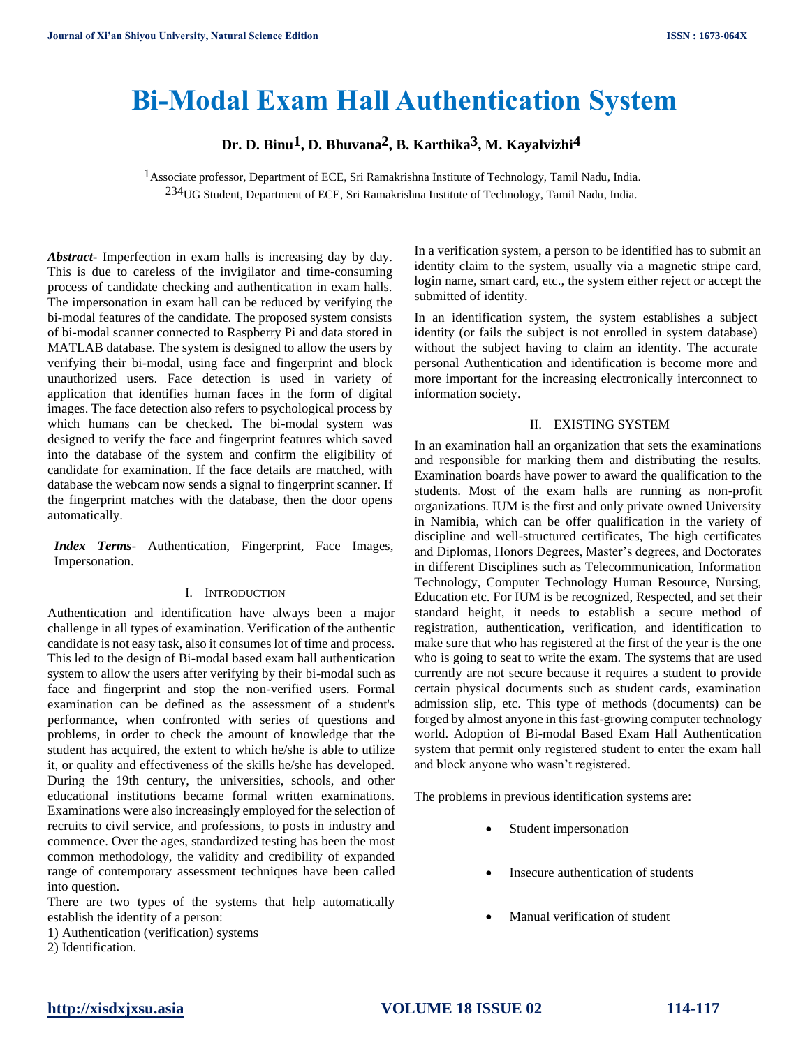# **Bi-Modal Exam Hall Authentication System**

**Dr. D. Binu1, D. Bhuvana2, B. Karthika3, M. Kayalvizhi4**

 1Associate professor, Department of ECE, Sri Ramakrishna Institute of Technology, Tamil Nadu, India. 234UG Student, Department of ECE, Sri Ramakrishna Institute of Technology, Tamil Nadu, India.

*Abstract***-** Imperfection in exam halls is increasing day by day. This is due to careless of the invigilator and time-consuming process of candidate checking and authentication in exam halls. The impersonation in exam hall can be reduced by verifying the bi-modal features of the candidate. The proposed system consists of bi-modal scanner connected to Raspberry Pi and data stored in MATLAB database. The system is designed to allow the users by verifying their bi-modal, using face and fingerprint and block unauthorized users. Face detection is used in variety of application that identifies human faces in the form of digital images. The face detection also refers to psychological process by which humans can be checked. The bi-modal system was designed to verify the face and fingerprint features which saved into the database of the system and confirm the eligibility of candidate for examination. If the face details are matched, with database the webcam now sends a signal to fingerprint scanner. If the fingerprint matches with the database, then the door opens automatically.

*Index Terms*- Authentication, Fingerprint, Face Images, Impersonation.

#### I. INTRODUCTION

Authentication and identification have always been a major challenge in all types of examination. Verification of the authentic candidate is not easy task, also it consumes lot of time and process. This led to the design of Bi-modal based exam hall authentication system to allow the users after verifying by their bi-modal such as face and fingerprint and stop the non-verified users. Formal examination can be defined as the assessment of a student's performance, when confronted with series of questions and problems, in order to check the amount of knowledge that the student has acquired, the extent to which he/she is able to utilize it, or quality and effectiveness of the skills he/she has developed. During the 19th century, the universities, schools, and other educational institutions became formal written examinations. Examinations were also increasingly employed for the selection of recruits to civil service, and professions, to posts in industry and commence. Over the ages, standardized testing has been the most common methodology, the validity and credibility of expanded range of contemporary assessment techniques have been called into question.

There are two types of the systems that help automatically establish the identity of a person:

1) Authentication (verification) systems

2) Identification.

In a verification system, a person to be identified has to submit an identity claim to the system, usually via a magnetic stripe card, login name, smart card, etc., the system either reject or accept the submitted of identity.

In an identification system, the system establishes a subject identity (or fails the subject is not enrolled in system database) without the subject having to claim an identity. The accurate personal Authentication and identification is become more and more important for the increasing electronically interconnect to information society.

## II. EXISTING SYSTEM

In an examination hall an organization that sets the examinations and responsible for marking them and distributing the results. Examination boards have power to award the qualification to the students. Most of the exam halls are running as non-profit organizations. IUM is the first and only private owned University in Namibia, which can be offer qualification in the variety of discipline and well-structured certificates, The high certificates and Diplomas, Honors Degrees, Master's degrees, and Doctorates in different Disciplines such as Telecommunication, Information Technology, Computer Technology Human Resource, Nursing, Education etc. For IUM is be recognized, Respected, and set their standard height, it needs to establish a secure method of registration, authentication, verification, and identification to make sure that who has registered at the first of the year is the one who is going to seat to write the exam. The systems that are used currently are not secure because it requires a student to provide certain physical documents such as student cards, examination admission slip, etc. This type of methods (documents) can be forged by almost anyone in this fast-growing computer technology world. Adoption of Bi-modal Based Exam Hall Authentication system that permit only registered student to enter the exam hall and block anyone who wasn't registered.

The problems in previous identification systems are:

- Student impersonation
- Insecure authentication of students
- Manual verification of student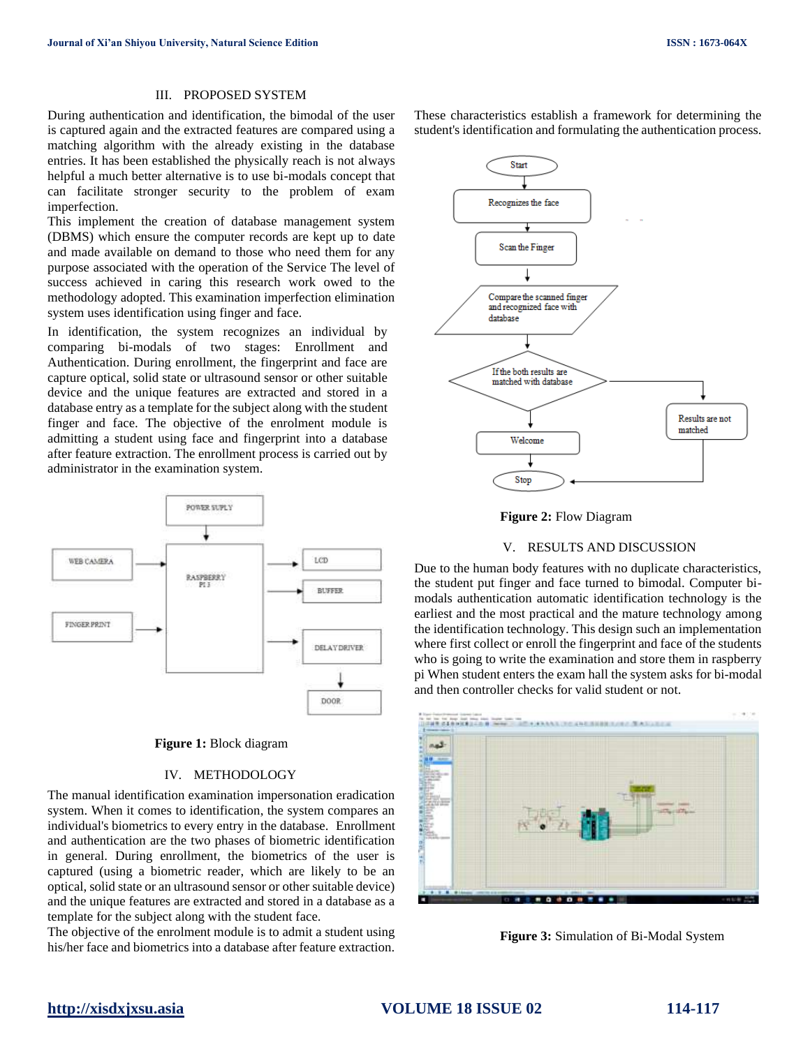## III. PROPOSED SYSTEM

During authentication and identification, the bimodal of the user is captured again and the extracted features are compared using a matching algorithm with the already existing in the database entries. It has been established the physically reach is not always helpful a much better alternative is to use bi-modals concept that can facilitate stronger security to the problem of exam imperfection.

This implement the creation of database management system (DBMS) which ensure the computer records are kept up to date and made available on demand to those who need them for any purpose associated with the operation of the Service The level of success achieved in caring this research work owed to the methodology adopted. This examination imperfection elimination system uses identification using finger and face.

In identification, the system recognizes an individual by comparing bi-modals of two stages: Enrollment and Authentication. During enrollment, the fingerprint and face are capture optical, solid state or ultrasound sensor or other suitable device and the unique features are extracted and stored in a database entry as a template for the subject along with the student finger and face. The objective of the enrolment module is admitting a student using face and fingerprint into a database after feature extraction. The enrollment process is carried out by administrator in the examination system.



## **Figure 1:** Block diagram

## IV. METHODOLOGY

The manual identification examination impersonation eradication system. When it comes to identification, the system compares an individual's biometrics to every entry in the database. Enrollment and authentication are the two phases of biometric identification in general. During enrollment, the biometrics of the user is captured (using a biometric reader, which are likely to be an optical, solid state or an ultrasound sensor or other suitable device) and the unique features are extracted and stored in a database as a template for the subject along with the student face.

The objective of the enrolment module is to admit a student using his/her face and biometrics into a database after feature extraction. These characteristics establish a framework for determining the student's identification and formulating the authentication process.





#### V. RESULTS AND DISCUSSION

Due to the human body features with no duplicate characteristics, the student put finger and face turned to bimodal. Computer bimodals authentication automatic identification technology is the earliest and the most practical and the mature technology among the identification technology. This design such an implementation where first collect or enroll the fingerprint and face of the students who is going to write the examination and store them in raspberry pi When student enters the exam hall the system asks for bi-modal and then controller checks for valid student or not.



**Figure 3:** Simulation of Bi-Modal System